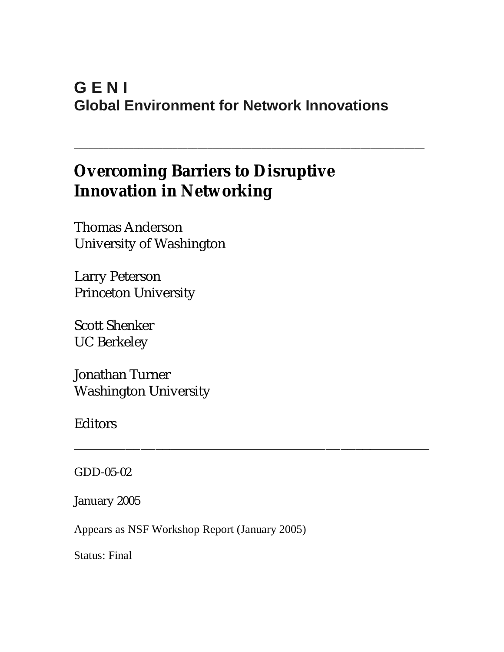# **G E N I Global Environment for Network Innovations**

\_\_\_\_\_\_\_\_\_\_\_\_\_\_\_\_\_\_\_\_\_\_\_\_\_\_\_\_\_\_\_\_\_\_\_\_\_\_\_\_\_\_\_\_\_\_\_\_\_\_\_\_\_\_\_\_\_\_\_\_\_\_\_\_\_\_\_\_\_\_\_

\_\_\_\_\_\_\_\_\_\_\_\_\_\_\_\_\_\_\_\_\_\_\_\_\_\_\_\_\_\_\_\_\_\_\_\_\_\_\_\_\_\_\_\_\_\_\_\_

# **Overcoming Barriers to Disruptive Innovation in Networking**

Thomas Anderson University of Washington

Larry Peterson Princeton University

Scott Shenker UC Berkeley

Jonathan Turner Washington University

Editors

GDD-05-02

January 2005

Appears as NSF Workshop Report (January 2005)

Status: Final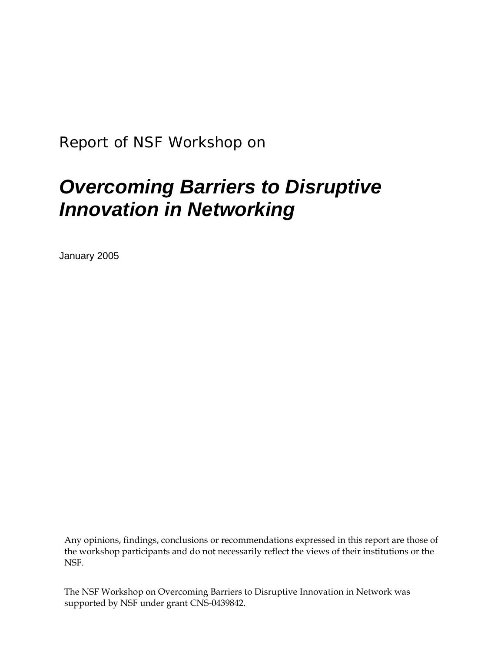*Report of NSF Workshop on* 

# *Overcoming Barriers to Disruptive Innovation in Networking*

January 2005

Any opinions, findings, conclusions or recommendations expressed in this report are those of the workshop participants and do not necessarily reflect the views of their institutions or the NSF.

The NSF Workshop on Overcoming Barriers to Disruptive Innovation in Network was supported by NSF under grant CNS-0439842.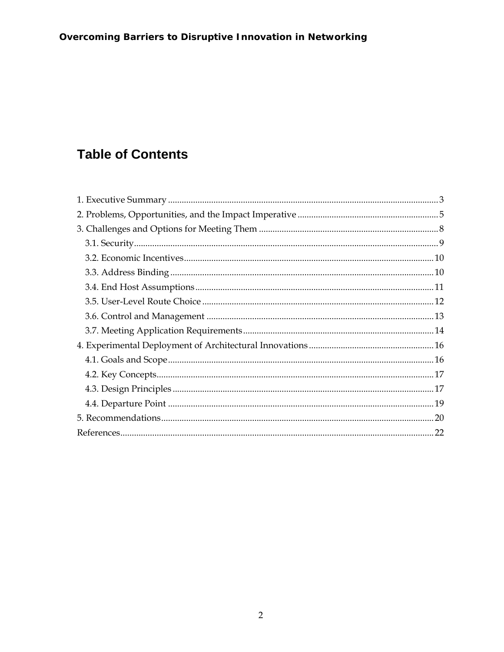# **Table of Contents**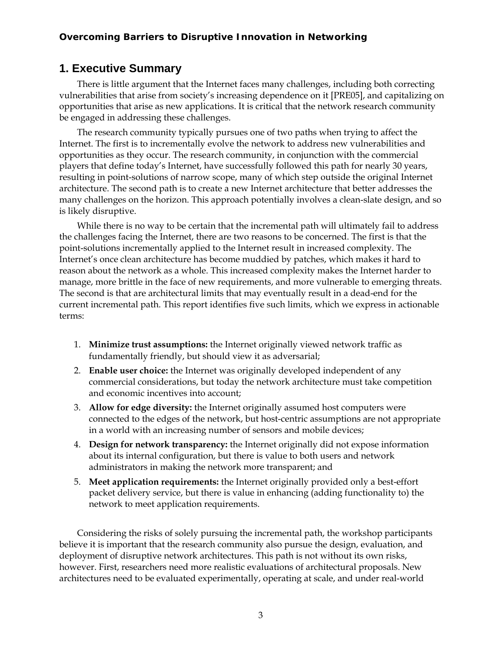# **1. Executive Summary**

There is little argument that the Internet faces many challenges, including both correcting vulnerabilities that arise from society's increasing dependence on it [PRE05], and capitalizing on opportunities that arise as new applications. It is critical that the network research community be engaged in addressing these challenges.

The research community typically pursues one of two paths when trying to affect the Internet. The first is to incrementally evolve the network to address new vulnerabilities and opportunities as they occur. The research community, in conjunction with the commercial players that define today's Internet, have successfully followed this path for nearly 30 years, resulting in point-solutions of narrow scope, many of which step outside the original Internet architecture. The second path is to create a new Internet architecture that better addresses the many challenges on the horizon. This approach potentially involves a clean-slate design, and so is likely disruptive.

While there is no way to be certain that the incremental path will ultimately fail to address the challenges facing the Internet, there are two reasons to be concerned. The first is that the point-solutions incrementally applied to the Internet result in increased complexity. The Internet's once clean architecture has become muddied by patches, which makes it hard to reason about the network as a whole. This increased complexity makes the Internet harder to manage, more brittle in the face of new requirements, and more vulnerable to emerging threats. The second is that are architectural limits that may eventually result in a dead-end for the current incremental path. This report identifies five such limits, which we express in actionable terms:

- 1. **Minimize trust assumptions:** the Internet originally viewed network traffic as fundamentally friendly, but should view it as adversarial;
- 2. **Enable user choice:** the Internet was originally developed independent of any commercial considerations, but today the network architecture must take competition and economic incentives into account;
- 3. **Allow for edge diversity:** the Internet originally assumed host computers were connected to the edges of the network, but host-centric assumptions are not appropriate in a world with an increasing number of sensors and mobile devices;
- 4. **Design for network transparency:** the Internet originally did not expose information about its internal configuration, but there is value to both users and network administrators in making the network more transparent; and
- 5. **Meet application requirements:** the Internet originally provided only a best-effort packet delivery service, but there is value in enhancing (adding functionality to) the network to meet application requirements.

Considering the risks of solely pursuing the incremental path, the workshop participants believe it is important that the research community also pursue the design, evaluation, and deployment of disruptive network architectures. This path is not without its own risks, however. First, researchers need more realistic evaluations of architectural proposals. New architectures need to be evaluated experimentally, operating at scale, and under real-world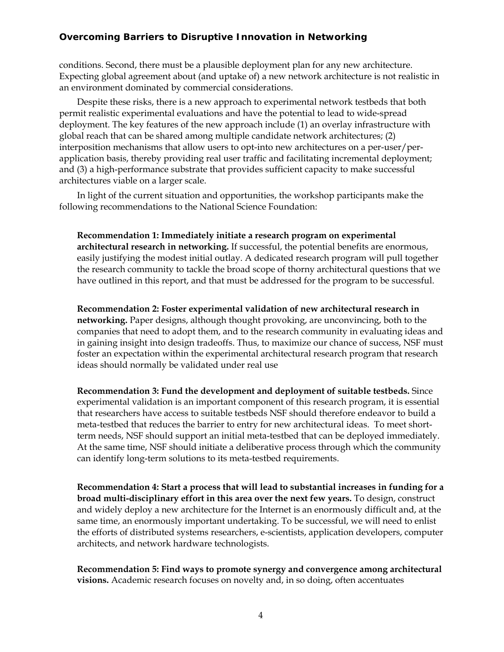conditions. Second, there must be a plausible deployment plan for any new architecture. Expecting global agreement about (and uptake of) a new network architecture is not realistic in an environment dominated by commercial considerations.

Despite these risks, there is a new approach to experimental network testbeds that both permit realistic experimental evaluations and have the potential to lead to wide-spread deployment. The key features of the new approach include (1) an overlay infrastructure with global reach that can be shared among multiple candidate network architectures; (2) interposition mechanisms that allow users to opt-into new architectures on a per-user/perapplication basis, thereby providing real user traffic and facilitating incremental deployment; and (3) a high-performance substrate that provides sufficient capacity to make successful architectures viable on a larger scale.

In light of the current situation and opportunities, the workshop participants make the following recommendations to the National Science Foundation:

**Recommendation 1: Immediately initiate a research program on experimental architectural research in networking.** If successful, the potential benefits are enormous, easily justifying the modest initial outlay. A dedicated research program will pull together the research community to tackle the broad scope of thorny architectural questions that we have outlined in this report, and that must be addressed for the program to be successful.

**Recommendation 2: Foster experimental validation of new architectural research in networking.** Paper designs, although thought provoking, are unconvincing, both to the companies that need to adopt them, and to the research community in evaluating ideas and in gaining insight into design tradeoffs. Thus, to maximize our chance of success, NSF must foster an expectation within the experimental architectural research program that research ideas should normally be validated under real use

**Recommendation 3: Fund the development and deployment of suitable testbeds.** Since experimental validation is an important component of this research program, it is essential that researchers have access to suitable testbeds NSF should therefore endeavor to build a meta-testbed that reduces the barrier to entry for new architectural ideas. To meet shortterm needs, NSF should support an initial meta-testbed that can be deployed immediately. At the same time, NSF should initiate a deliberative process through which the community can identify long-term solutions to its meta-testbed requirements.

**Recommendation 4: Start a process that will lead to substantial increases in funding for a broad multi-disciplinary effort in this area over the next few years.** To design, construct and widely deploy a new architecture for the Internet is an enormously difficult and, at the same time, an enormously important undertaking. To be successful, we will need to enlist the efforts of distributed systems researchers, e-scientists, application developers, computer architects, and network hardware technologists.

**Recommendation 5: Find ways to promote synergy and convergence among architectural visions.** Academic research focuses on novelty and, in so doing, often accentuates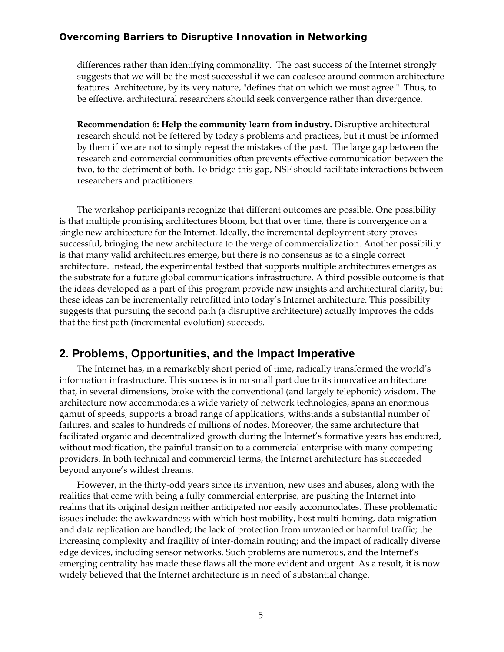differences rather than identifying commonality. The past success of the Internet strongly suggests that we will be the most successful if we can coalesce around common architecture features. Architecture, by its very nature, "defines that on which we must agree." Thus, to be effective, architectural researchers should seek convergence rather than divergence.

**Recommendation 6: Help the community learn from industry.** Disruptive architectural research should not be fettered by today's problems and practices, but it must be informed by them if we are not to simply repeat the mistakes of the past. The large gap between the research and commercial communities often prevents effective communication between the two, to the detriment of both. To bridge this gap, NSF should facilitate interactions between researchers and practitioners.

The workshop participants recognize that different outcomes are possible. One possibility is that multiple promising architectures bloom, but that over time, there is convergence on a single new architecture for the Internet. Ideally, the incremental deployment story proves successful, bringing the new architecture to the verge of commercialization. Another possibility is that many valid architectures emerge, but there is no consensus as to a single correct architecture. Instead, the experimental testbed that supports multiple architectures emerges as the substrate for a future global communications infrastructure. A third possible outcome is that the ideas developed as a part of this program provide new insights and architectural clarity, but these ideas can be incrementally retrofitted into today's Internet architecture. This possibility suggests that pursuing the second path (a disruptive architecture) actually improves the odds that the first path (incremental evolution) succeeds.

### **2. Problems, Opportunities, and the Impact Imperative**

The Internet has, in a remarkably short period of time, radically transformed the world's information infrastructure. This success is in no small part due to its innovative architecture that, in several dimensions, broke with the conventional (and largely telephonic) wisdom. The architecture now accommodates a wide variety of network technologies, spans an enormous gamut of speeds, supports a broad range of applications, withstands a substantial number of failures, and scales to hundreds of millions of nodes. Moreover, the same architecture that facilitated organic and decentralized growth during the Internet's formative years has endured, without modification, the painful transition to a commercial enterprise with many competing providers. In both technical and commercial terms, the Internet architecture has succeeded beyond anyone's wildest dreams.

However, in the thirty-odd years since its invention, new uses and abuses, along with the realities that come with being a fully commercial enterprise, are pushing the Internet into realms that its original design neither anticipated nor easily accommodates. These problematic issues include: the awkwardness with which host mobility, host multi-homing, data migration and data replication are handled; the lack of protection from unwanted or harmful traffic; the increasing complexity and fragility of inter-domain routing; and the impact of radically diverse edge devices, including sensor networks. Such problems are numerous, and the Internet's emerging centrality has made these flaws all the more evident and urgent. As a result, it is now widely believed that the Internet architecture is in need of substantial change.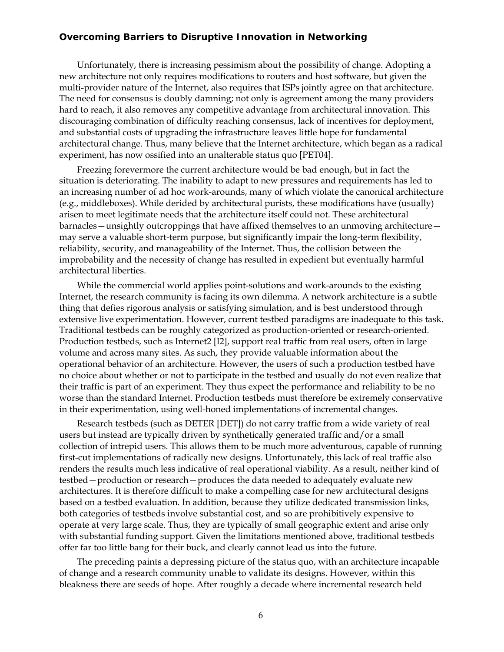Unfortunately, there is increasing pessimism about the possibility of change. Adopting a new architecture not only requires modifications to routers and host software, but given the multi-provider nature of the Internet, also requires that ISPs jointly agree on that architecture. The need for consensus is doubly damning; not only is agreement among the many providers hard to reach, it also removes any competitive advantage from architectural innovation. This discouraging combination of difficulty reaching consensus, lack of incentives for deployment, and substantial costs of upgrading the infrastructure leaves little hope for fundamental architectural change. Thus, many believe that the Internet architecture, which began as a radical experiment, has now ossified into an unalterable status quo [PET04].

Freezing forevermore the current architecture would be bad enough, but in fact the situation is deteriorating. The inability to adapt to new pressures and requirements has led to an increasing number of ad hoc work-arounds, many of which violate the canonical architecture (e.g., middleboxes). While derided by architectural purists, these modifications have (usually) arisen to meet legitimate needs that the architecture itself could not. These architectural barnacles—unsightly outcroppings that have affixed themselves to an unmoving architecture may serve a valuable short-term purpose, but significantly impair the long-term flexibility, reliability, security, and manageability of the Internet. Thus, the collision between the improbability and the necessity of change has resulted in expedient but eventually harmful architectural liberties.

While the commercial world applies point-solutions and work-arounds to the existing Internet, the research community is facing its own dilemma. A network architecture is a subtle thing that defies rigorous analysis or satisfying simulation, and is best understood through extensive live experimentation. However, current testbed paradigms are inadequate to this task. Traditional testbeds can be roughly categorized as production-oriented or research-oriented. Production testbeds, such as Internet2 [I2], support real traffic from real users, often in large volume and across many sites. As such, they provide valuable information about the operational behavior of an architecture. However, the users of such a production testbed have no choice about whether or not to participate in the testbed and usually do not even realize that their traffic is part of an experiment. They thus expect the performance and reliability to be no worse than the standard Internet. Production testbeds must therefore be extremely conservative in their experimentation, using well-honed implementations of incremental changes.

Research testbeds (such as DETER [DET]) do not carry traffic from a wide variety of real users but instead are typically driven by synthetically generated traffic and/or a small collection of intrepid users. This allows them to be much more adventurous, capable of running first-cut implementations of radically new designs. Unfortunately, this lack of real traffic also renders the results much less indicative of real operational viability. As a result, neither kind of testbed—production or research—produces the data needed to adequately evaluate new architectures. It is therefore difficult to make a compelling case for new architectural designs based on a testbed evaluation. In addition, because they utilize dedicated transmission links, both categories of testbeds involve substantial cost, and so are prohibitively expensive to operate at very large scale. Thus, they are typically of small geographic extent and arise only with substantial funding support. Given the limitations mentioned above, traditional testbeds offer far too little bang for their buck, and clearly cannot lead us into the future.

The preceding paints a depressing picture of the status quo, with an architecture incapable of change and a research community unable to validate its designs. However, within this bleakness there are seeds of hope. After roughly a decade where incremental research held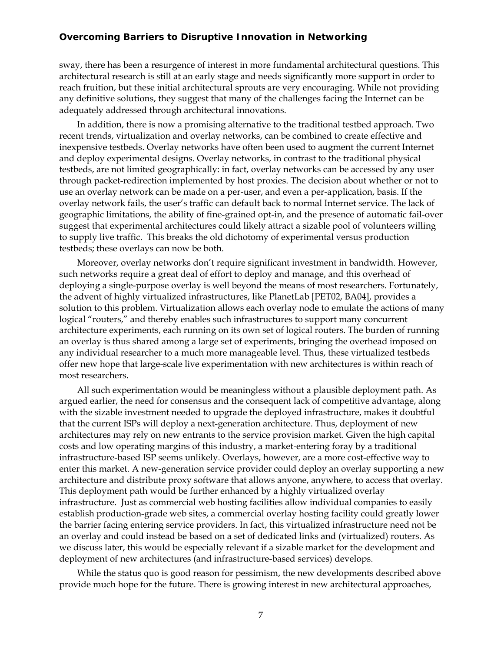sway, there has been a resurgence of interest in more fundamental architectural questions. This architectural research is still at an early stage and needs significantly more support in order to reach fruition, but these initial architectural sprouts are very encouraging. While not providing any definitive solutions, they suggest that many of the challenges facing the Internet can be adequately addressed through architectural innovations.

In addition, there is now a promising alternative to the traditional testbed approach. Two recent trends, virtualization and overlay networks, can be combined to create effective and inexpensive testbeds. Overlay networks have often been used to augment the current Internet and deploy experimental designs. Overlay networks, in contrast to the traditional physical testbeds, are not limited geographically: in fact, overlay networks can be accessed by any user through packet-redirection implemented by host proxies. The decision about whether or not to use an overlay network can be made on a per-user, and even a per-application, basis. If the overlay network fails, the user's traffic can default back to normal Internet service. The lack of geographic limitations, the ability of fine-grained opt-in, and the presence of automatic fail-over suggest that experimental architectures could likely attract a sizable pool of volunteers willing to supply live traffic. This breaks the old dichotomy of experimental versus production testbeds; these overlays can now be both.

Moreover, overlay networks don't require significant investment in bandwidth. However, such networks require a great deal of effort to deploy and manage, and this overhead of deploying a single-purpose overlay is well beyond the means of most researchers. Fortunately, the advent of highly virtualized infrastructures, like PlanetLab [PET02, BA04], provides a solution to this problem. Virtualization allows each overlay node to emulate the actions of many logical "routers," and thereby enables such infrastructures to support many concurrent architecture experiments, each running on its own set of logical routers. The burden of running an overlay is thus shared among a large set of experiments, bringing the overhead imposed on any individual researcher to a much more manageable level. Thus, these virtualized testbeds offer new hope that large-scale live experimentation with new architectures is within reach of most researchers.

All such experimentation would be meaningless without a plausible deployment path. As argued earlier, the need for consensus and the consequent lack of competitive advantage, along with the sizable investment needed to upgrade the deployed infrastructure, makes it doubtful that the current ISPs will deploy a next-generation architecture. Thus, deployment of new architectures may rely on new entrants to the service provision market. Given the high capital costs and low operating margins of this industry, a market-entering foray by a traditional infrastructure-based ISP seems unlikely. Overlays, however, are a more cost-effective way to enter this market. A new-generation service provider could deploy an overlay supporting a new architecture and distribute proxy software that allows anyone, anywhere, to access that overlay. This deployment path would be further enhanced by a highly virtualized overlay infrastructure. Just as commercial web hosting facilities allow individual companies to easily establish production-grade web sites, a commercial overlay hosting facility could greatly lower the barrier facing entering service providers. In fact, this virtualized infrastructure need not be an overlay and could instead be based on a set of dedicated links and (virtualized) routers. As we discuss later, this would be especially relevant if a sizable market for the development and deployment of new architectures (and infrastructure-based services) develops.

While the status quo is good reason for pessimism, the new developments described above provide much hope for the future. There is growing interest in new architectural approaches,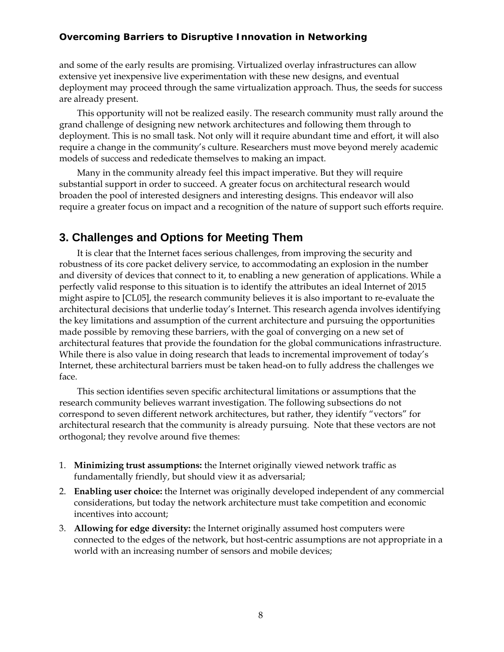and some of the early results are promising. Virtualized overlay infrastructures can allow extensive yet inexpensive live experimentation with these new designs, and eventual deployment may proceed through the same virtualization approach. Thus, the seeds for success are already present.

This opportunity will not be realized easily. The research community must rally around the grand challenge of designing new network architectures and following them through to deployment. This is no small task. Not only will it require abundant time and effort, it will also require a change in the community's culture. Researchers must move beyond merely academic models of success and rededicate themselves to making an impact.

Many in the community already feel this impact imperative. But they will require substantial support in order to succeed. A greater focus on architectural research would broaden the pool of interested designers and interesting designs. This endeavor will also require a greater focus on impact and a recognition of the nature of support such efforts require.

## **3. Challenges and Options for Meeting Them**

It is clear that the Internet faces serious challenges, from improving the security and robustness of its core packet delivery service, to accommodating an explosion in the number and diversity of devices that connect to it, to enabling a new generation of applications. While a perfectly valid response to this situation is to identify the attributes an ideal Internet of 2015 might aspire to [CL05], the research community believes it is also important to re-evaluate the architectural decisions that underlie today's Internet. This research agenda involves identifying the key limitations and assumption of the current architecture and pursuing the opportunities made possible by removing these barriers, with the goal of converging on a new set of architectural features that provide the foundation for the global communications infrastructure. While there is also value in doing research that leads to incremental improvement of today's Internet, these architectural barriers must be taken head-on to fully address the challenges we face.

This section identifies seven specific architectural limitations or assumptions that the research community believes warrant investigation. The following subsections do not correspond to seven different network architectures, but rather, they identify "vectors" for architectural research that the community is already pursuing. Note that these vectors are not orthogonal; they revolve around five themes:

- 1. **Minimizing trust assumptions:** the Internet originally viewed network traffic as fundamentally friendly, but should view it as adversarial;
- 2. **Enabling user choice:** the Internet was originally developed independent of any commercial considerations, but today the network architecture must take competition and economic incentives into account;
- 3. **Allowing for edge diversity:** the Internet originally assumed host computers were connected to the edges of the network, but host-centric assumptions are not appropriate in a world with an increasing number of sensors and mobile devices;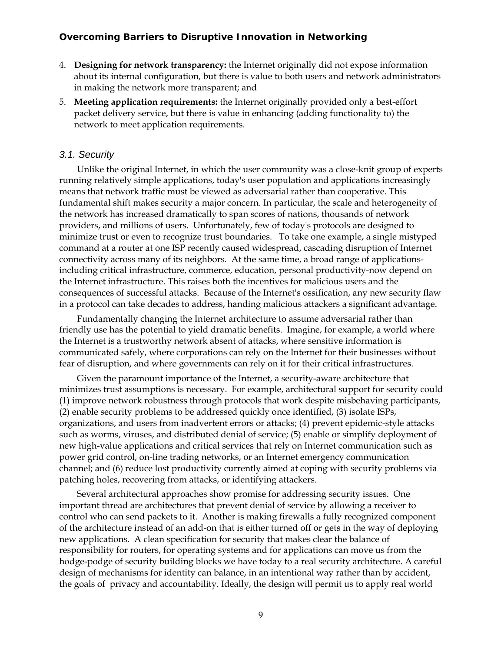- 4. **Designing for network transparency:** the Internet originally did not expose information about its internal configuration, but there is value to both users and network administrators in making the network more transparent; and
- 5. **Meeting application requirements:** the Internet originally provided only a best-effort packet delivery service, but there is value in enhancing (adding functionality to) the network to meet application requirements.

#### *3.1. Security*

Unlike the original Internet, in which the user community was a close-knit group of experts running relatively simple applications, today's user population and applications increasingly means that network traffic must be viewed as adversarial rather than cooperative. This fundamental shift makes security a major concern. In particular, the scale and heterogeneity of the network has increased dramatically to span scores of nations, thousands of network providers, and millions of users. Unfortunately, few of today's protocols are designed to minimize trust or even to recognize trust boundaries. To take one example, a single mistyped command at a router at one ISP recently caused widespread, cascading disruption of Internet connectivity across many of its neighbors. At the same time, a broad range of applicationsincluding critical infrastructure, commerce, education, personal productivity-now depend on the Internet infrastructure. This raises both the incentives for malicious users and the consequences of successful attacks. Because of the Internet's ossification, any new security flaw in a protocol can take decades to address, handing malicious attackers a significant advantage.

Fundamentally changing the Internet architecture to assume adversarial rather than friendly use has the potential to yield dramatic benefits. Imagine, for example, a world where the Internet is a trustworthy network absent of attacks, where sensitive information is communicated safely, where corporations can rely on the Internet for their businesses without fear of disruption, and where governments can rely on it for their critical infrastructures.

Given the paramount importance of the Internet, a security-aware architecture that minimizes trust assumptions is necessary. For example, architectural support for security could (1) improve network robustness through protocols that work despite misbehaving participants, (2) enable security problems to be addressed quickly once identified, (3) isolate ISPs, organizations, and users from inadvertent errors or attacks; (4) prevent epidemic-style attacks such as worms, viruses, and distributed denial of service; (5) enable or simplify deployment of new high-value applications and critical services that rely on Internet communication such as power grid control, on-line trading networks, or an Internet emergency communication channel; and (6) reduce lost productivity currently aimed at coping with security problems via patching holes, recovering from attacks, or identifying attackers.

Several architectural approaches show promise for addressing security issues. One important thread are architectures that prevent denial of service by allowing a receiver to control who can send packets to it. Another is making firewalls a fully recognized component of the architecture instead of an add-on that is either turned off or gets in the way of deploying new applications. A clean specification for security that makes clear the balance of responsibility for routers, for operating systems and for applications can move us from the hodge-podge of security building blocks we have today to a real security architecture. A careful design of mechanisms for identity can balance, in an intentional way rather than by accident, the goals of privacy and accountability. Ideally, the design will permit us to apply real world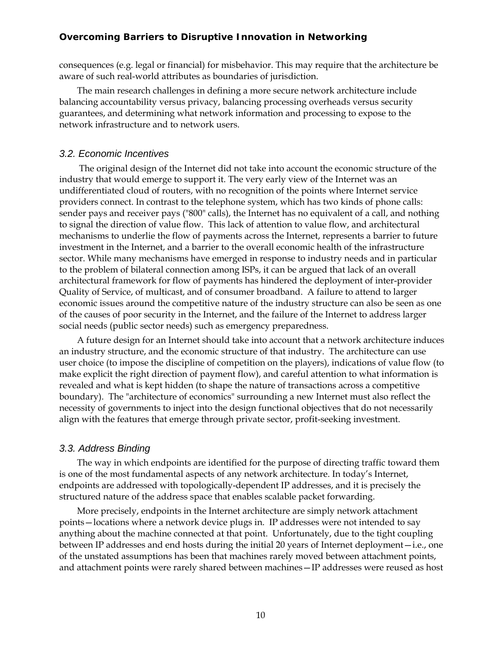consequences (e.g. legal or financial) for misbehavior. This may require that the architecture be aware of such real-world attributes as boundaries of jurisdiction.

The main research challenges in defining a more secure network architecture include balancing accountability versus privacy, balancing processing overheads versus security guarantees, and determining what network information and processing to expose to the network infrastructure and to network users.

#### *3.2. Economic Incentives*

The original design of the Internet did not take into account the economic structure of the industry that would emerge to support it. The very early view of the Internet was an undifferentiated cloud of routers, with no recognition of the points where Internet service providers connect. In contrast to the telephone system, which has two kinds of phone calls: sender pays and receiver pays ("800" calls), the Internet has no equivalent of a call, and nothing to signal the direction of value flow. This lack of attention to value flow, and architectural mechanisms to underlie the flow of payments across the Internet, represents a barrier to future investment in the Internet, and a barrier to the overall economic health of the infrastructure sector. While many mechanisms have emerged in response to industry needs and in particular to the problem of bilateral connection among ISPs, it can be argued that lack of an overall architectural framework for flow of payments has hindered the deployment of inter-provider Quality of Service, of multicast, and of consumer broadband. A failure to attend to larger economic issues around the competitive nature of the industry structure can also be seen as one of the causes of poor security in the Internet, and the failure of the Internet to address larger social needs (public sector needs) such as emergency preparedness.

A future design for an Internet should take into account that a network architecture induces an industry structure, and the economic structure of that industry. The architecture can use user choice (to impose the discipline of competition on the players), indications of value flow (to make explicit the right direction of payment flow), and careful attention to what information is revealed and what is kept hidden (to shape the nature of transactions across a competitive boundary). The "architecture of economics" surrounding a new Internet must also reflect the necessity of governments to inject into the design functional objectives that do not necessarily align with the features that emerge through private sector, profit-seeking investment.

#### *3.3. Address Binding*

The way in which endpoints are identified for the purpose of directing traffic toward them is one of the most fundamental aspects of any network architecture. In today's Internet, endpoints are addressed with topologically-dependent IP addresses, and it is precisely the structured nature of the address space that enables scalable packet forwarding.

More precisely, endpoints in the Internet architecture are simply network attachment points—locations where a network device plugs in. IP addresses were not intended to say anything about the machine connected at that point. Unfortunately, due to the tight coupling between IP addresses and end hosts during the initial 20 years of Internet deployment—i.e., one of the unstated assumptions has been that machines rarely moved between attachment points, and attachment points were rarely shared between machines—IP addresses were reused as host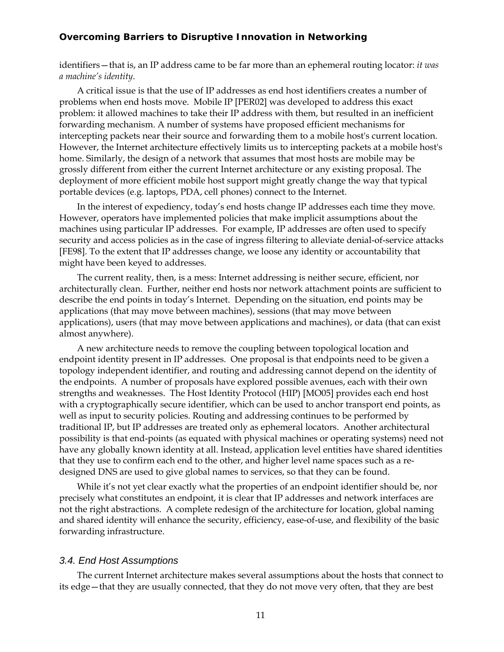identifiers—that is, an IP address came to be far more than an ephemeral routing locator: *it was a machine's identity*.

A critical issue is that the use of IP addresses as end host identifiers creates a number of problems when end hosts move. Mobile IP [PER02] was developed to address this exact problem: it allowed machines to take their IP address with them, but resulted in an inefficient forwarding mechanism. A number of systems have proposed efficient mechanisms for intercepting packets near their source and forwarding them to a mobile host's current location. However, the Internet architecture effectively limits us to intercepting packets at a mobile host's home. Similarly, the design of a network that assumes that most hosts are mobile may be grossly different from either the current Internet architecture or any existing proposal. The deployment of more efficient mobile host support might greatly change the way that typical portable devices (e.g. laptops, PDA, cell phones) connect to the Internet.

In the interest of expediency, today's end hosts change IP addresses each time they move. However, operators have implemented policies that make implicit assumptions about the machines using particular IP addresses. For example, IP addresses are often used to specify security and access policies as in the case of ingress filtering to alleviate denial-of-service attacks [FE98]. To the extent that IP addresses change, we loose any identity or accountability that might have been keyed to addresses.

The current reality, then, is a mess: Internet addressing is neither secure, efficient, nor architecturally clean. Further, neither end hosts nor network attachment points are sufficient to describe the end points in today's Internet. Depending on the situation, end points may be applications (that may move between machines), sessions (that may move between applications), users (that may move between applications and machines), or data (that can exist almost anywhere).

A new architecture needs to remove the coupling between topological location and endpoint identity present in IP addresses. One proposal is that endpoints need to be given a topology independent identifier, and routing and addressing cannot depend on the identity of the endpoints. A number of proposals have explored possible avenues, each with their own strengths and weaknesses. The Host Identity Protocol (HIP) [MO05] provides each end host with a cryptographically secure identifier, which can be used to anchor transport end points, as well as input to security policies. Routing and addressing continues to be performed by traditional IP, but IP addresses are treated only as ephemeral locators. Another architectural possibility is that end-points (as equated with physical machines or operating systems) need not have any globally known identity at all. Instead, application level entities have shared identities that they use to confirm each end to the other, and higher level name spaces such as a redesigned DNS are used to give global names to services, so that they can be found.

While it's not yet clear exactly what the properties of an endpoint identifier should be, nor precisely what constitutes an endpoint, it is clear that IP addresses and network interfaces are not the right abstractions. A complete redesign of the architecture for location, global naming and shared identity will enhance the security, efficiency, ease-of-use, and flexibility of the basic forwarding infrastructure.

#### *3.4. End Host Assumptions*

The current Internet architecture makes several assumptions about the hosts that connect to its edge—that they are usually connected, that they do not move very often, that they are best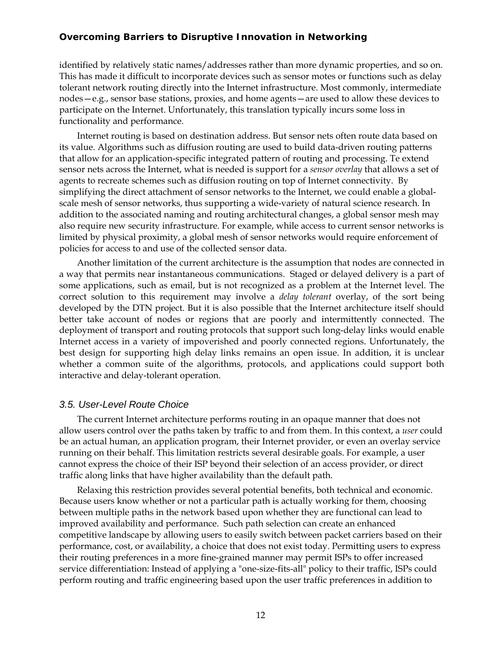identified by relatively static names/addresses rather than more dynamic properties, and so on. This has made it difficult to incorporate devices such as sensor motes or functions such as delay tolerant network routing directly into the Internet infrastructure. Most commonly, intermediate nodes—e.g., sensor base stations, proxies, and home agents—are used to allow these devices to participate on the Internet. Unfortunately, this translation typically incurs some loss in functionality and performance.

Internet routing is based on destination address. But sensor nets often route data based on its value. Algorithms such as diffusion routing are used to build data-driven routing patterns that allow for an application-specific integrated pattern of routing and processing. Te extend sensor nets across the Internet, what is needed is support for a *sensor overlay* that allows a set of agents to recreate schemes such as diffusion routing on top of Internet connectivity. By simplifying the direct attachment of sensor networks to the Internet, we could enable a globalscale mesh of sensor networks, thus supporting a wide-variety of natural science research. In addition to the associated naming and routing architectural changes, a global sensor mesh may also require new security infrastructure. For example, while access to current sensor networks is limited by physical proximity, a global mesh of sensor networks would require enforcement of policies for access to and use of the collected sensor data.

Another limitation of the current architecture is the assumption that nodes are connected in a way that permits near instantaneous communications. Staged or delayed delivery is a part of some applications, such as email, but is not recognized as a problem at the Internet level. The correct solution to this requirement may involve a *delay tolerant* overlay, of the sort being developed by the DTN project. But it is also possible that the Internet architecture itself should better take account of nodes or regions that are poorly and intermittently connected. The deployment of transport and routing protocols that support such long-delay links would enable Internet access in a variety of impoverished and poorly connected regions. Unfortunately, the best design for supporting high delay links remains an open issue. In addition, it is unclear whether a common suite of the algorithms, protocols, and applications could support both interactive and delay-tolerant operation.

#### *3.5. User-Level Route Choice*

The current Internet architecture performs routing in an opaque manner that does not allow users control over the paths taken by traffic to and from them. In this context, a *user* could be an actual human, an application program, their Internet provider, or even an overlay service running on their behalf. This limitation restricts several desirable goals. For example, a user cannot express the choice of their ISP beyond their selection of an access provider, or direct traffic along links that have higher availability than the default path.

Relaxing this restriction provides several potential benefits, both technical and economic. Because users know whether or not a particular path is actually working for them, choosing between multiple paths in the network based upon whether they are functional can lead to improved availability and performance. Such path selection can create an enhanced competitive landscape by allowing users to easily switch between packet carriers based on their performance, cost, or availability, a choice that does not exist today. Permitting users to express their routing preferences in a more fine-grained manner may permit ISPs to offer increased service differentiation: Instead of applying a "one-size-fits-all" policy to their traffic, ISPs could perform routing and traffic engineering based upon the user traffic preferences in addition to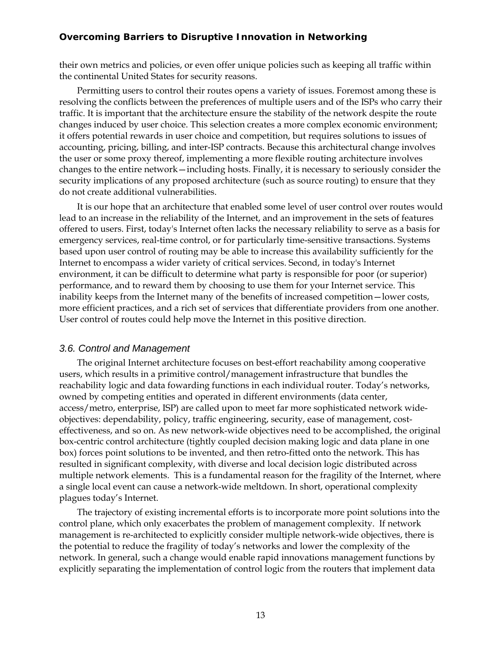their own metrics and policies, or even offer unique policies such as keeping all traffic within the continental United States for security reasons.

Permitting users to control their routes opens a variety of issues. Foremost among these is resolving the conflicts between the preferences of multiple users and of the ISPs who carry their traffic. It is important that the architecture ensure the stability of the network despite the route changes induced by user choice. This selection creates a more complex economic environment; it offers potential rewards in user choice and competition, but requires solutions to issues of accounting, pricing, billing, and inter-ISP contracts. Because this architectural change involves the user or some proxy thereof, implementing a more flexible routing architecture involves changes to the entire network—including hosts. Finally, it is necessary to seriously consider the security implications of any proposed architecture (such as source routing) to ensure that they do not create additional vulnerabilities.

It is our hope that an architecture that enabled some level of user control over routes would lead to an increase in the reliability of the Internet, and an improvement in the sets of features offered to users. First, today's Internet often lacks the necessary reliability to serve as a basis for emergency services, real-time control, or for particularly time-sensitive transactions. Systems based upon user control of routing may be able to increase this availability sufficiently for the Internet to encompass a wider variety of critical services. Second, in today's Internet environment, it can be difficult to determine what party is responsible for poor (or superior) performance, and to reward them by choosing to use them for your Internet service. This inability keeps from the Internet many of the benefits of increased competition—lower costs, more efficient practices, and a rich set of services that differentiate providers from one another. User control of routes could help move the Internet in this positive direction.

#### *3.6. Control and Management*

The original Internet architecture focuses on best-effort reachability among cooperative users, which results in a primitive control/management infrastructure that bundles the reachability logic and data fowarding functions in each individual router. Today's networks, owned by competing entities and operated in different environments (data center, access/metro, enterprise, ISP) are called upon to meet far more sophisticated network wideobjectives: dependability, policy, traffic engineering, security, ease of management, costeffectiveness, and so on. As new network-wide objectives need to be accomplished, the original box-centric control architecture (tightly coupled decision making logic and data plane in one box) forces point solutions to be invented, and then retro-fitted onto the network. This has resulted in significant complexity, with diverse and local decision logic distributed across multiple network elements. This is a fundamental reason for the fragility of the Internet, where a single local event can cause a network-wide meltdown. In short, operational complexity plagues today's Internet.

The trajectory of existing incremental efforts is to incorporate more point solutions into the control plane, which only exacerbates the problem of management complexity. If network management is re-architected to explicitly consider multiple network-wide objectives, there is the potential to reduce the fragility of today's networks and lower the complexity of the network. In general, such a change would enable rapid innovations management functions by explicitly separating the implementation of control logic from the routers that implement data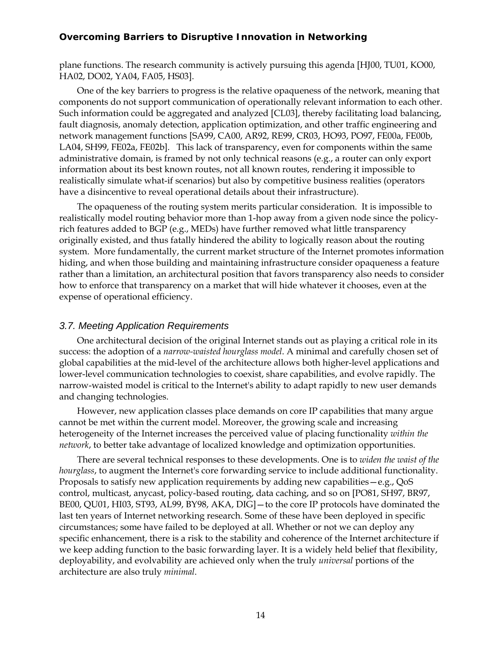plane functions. The research community is actively pursuing this agenda [HJ00, TU01, KO00, HA02, DO02, YA04, FA05, HS03].

One of the key barriers to progress is the relative opaqueness of the network, meaning that components do not support communication of operationally relevant information to each other. Such information could be aggregated and analyzed [CL03], thereby facilitating load balancing, fault diagnosis, anomaly detection, application optimization, and other traffic engineering and network management functions [SA99, CA00, AR92, RE99, CR03, HO93, PO97, FE00a, FE00b, LA04, SH99, FE02a, FE02b]. This lack of transparency, even for components within the same administrative domain, is framed by not only technical reasons (e.g., a router can only export information about its best known routes, not all known routes, rendering it impossible to realistically simulate what-if scenarios) but also by competitive business realities (operators have a disincentive to reveal operational details about their infrastructure).

The opaqueness of the routing system merits particular consideration. It is impossible to realistically model routing behavior more than 1-hop away from a given node since the policyrich features added to BGP (e.g., MEDs) have further removed what little transparency originally existed, and thus fatally hindered the ability to logically reason about the routing system. More fundamentally, the current market structure of the Internet promotes information hiding, and when those building and maintaining infrastructure consider opaqueness a feature rather than a limitation, an architectural position that favors transparency also needs to consider how to enforce that transparency on a market that will hide whatever it chooses, even at the expense of operational efficiency.

#### *3.7. Meeting Application Requirements*

One architectural decision of the original Internet stands out as playing a critical role in its success: the adoption of a *narrow-waisted hourglass model*. A minimal and carefully chosen set of global capabilities at the mid-level of the architecture allows both higher-level applications and lower-level communication technologies to coexist, share capabilities, and evolve rapidly. The narrow-waisted model is critical to the Internet's ability to adapt rapidly to new user demands and changing technologies.

However, new application classes place demands on core IP capabilities that many argue cannot be met within the current model. Moreover, the growing scale and increasing heterogeneity of the Internet increases the perceived value of placing functionality *within the network*, to better take advantage of localized knowledge and optimization opportunities.

There are several technical responses to these developments. One is to *widen the waist of the hourglass*, to augment the Internet's core forwarding service to include additional functionality. Proposals to satisfy new application requirements by adding new capabilities—e.g., QoS control, multicast, anycast, policy-based routing, data caching, and so on [PO81, SH97, BR97, BE00, QU01, HI03, ST93, AL99, BY98, AKA, DIG]—to the core IP protocols have dominated the last ten years of Internet networking research. Some of these have been deployed in specific circumstances; some have failed to be deployed at all. Whether or not we can deploy any specific enhancement, there is a risk to the stability and coherence of the Internet architecture if we keep adding function to the basic forwarding layer. It is a widely held belief that flexibility, deployability, and evolvability are achieved only when the truly *universal* portions of the architecture are also truly *minimal*.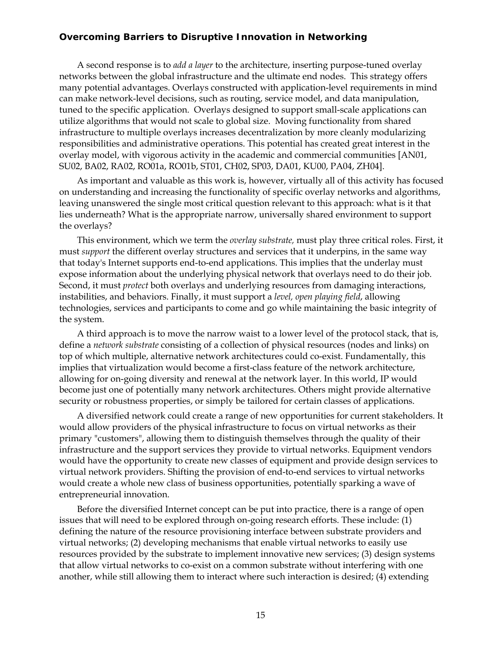A second response is to *add a layer* to the architecture, inserting purpose-tuned overlay networks between the global infrastructure and the ultimate end nodes. This strategy offers many potential advantages. Overlays constructed with application-level requirements in mind can make network-level decisions, such as routing, service model, and data manipulation, tuned to the specific application. Overlays designed to support small-scale applications can utilize algorithms that would not scale to global size. Moving functionality from shared infrastructure to multiple overlays increases decentralization by more cleanly modularizing responsibilities and administrative operations. This potential has created great interest in the overlay model, with vigorous activity in the academic and commercial communities [AN01, SU02, BA02, RA02, RO01a, RO01b, ST01, CH02, SP03, DA01, KU00, PA04, ZH04].

As important and valuable as this work is, however, virtually all of this activity has focused on understanding and increasing the functionality of specific overlay networks and algorithms, leaving unanswered the single most critical question relevant to this approach: what is it that lies underneath? What is the appropriate narrow, universally shared environment to support the overlays?

This environment, which we term the *overlay substrate,* must play three critical roles. First, it must *support* the different overlay structures and services that it underpins, in the same way that today's Internet supports end-to-end applications. This implies that the underlay must expose information about the underlying physical network that overlays need to do their job. Second, it must *protect* both overlays and underlying resources from damaging interactions, instabilities, and behaviors. Finally, it must support a *level, open playing field*, allowing technologies, services and participants to come and go while maintaining the basic integrity of the system.

A third approach is to move the narrow waist to a lower level of the protocol stack, that is, define a *network substrate* consisting of a collection of physical resources (nodes and links) on top of which multiple, alternative network architectures could co-exist. Fundamentally, this implies that virtualization would become a first-class feature of the network architecture, allowing for on-going diversity and renewal at the network layer. In this world, IP would become just one of potentially many network architectures. Others might provide alternative security or robustness properties, or simply be tailored for certain classes of applications.

A diversified network could create a range of new opportunities for current stakeholders. It would allow providers of the physical infrastructure to focus on virtual networks as their primary "customers", allowing them to distinguish themselves through the quality of their infrastructure and the support services they provide to virtual networks. Equipment vendors would have the opportunity to create new classes of equipment and provide design services to virtual network providers. Shifting the provision of end-to-end services to virtual networks would create a whole new class of business opportunities, potentially sparking a wave of entrepreneurial innovation.

Before the diversified Internet concept can be put into practice, there is a range of open issues that will need to be explored through on-going research efforts. These include: (1) defining the nature of the resource provisioning interface between substrate providers and virtual networks; (2) developing mechanisms that enable virtual networks to easily use resources provided by the substrate to implement innovative new services; (3) design systems that allow virtual networks to co-exist on a common substrate without interfering with one another, while still allowing them to interact where such interaction is desired; (4) extending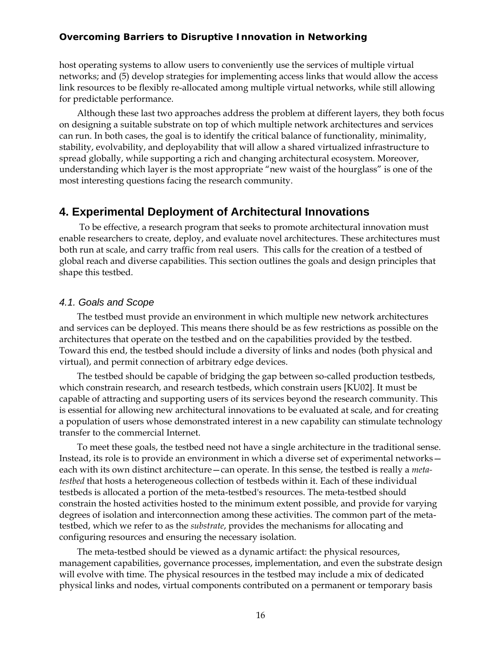host operating systems to allow users to conveniently use the services of multiple virtual networks; and (5) develop strategies for implementing access links that would allow the access link resources to be flexibly re-allocated among multiple virtual networks, while still allowing for predictable performance.

Although these last two approaches address the problem at different layers, they both focus on designing a suitable substrate on top of which multiple network architectures and services can run. In both cases, the goal is to identify the critical balance of functionality, minimality, stability, evolvability, and deployability that will allow a shared virtualized infrastructure to spread globally, while supporting a rich and changing architectural ecosystem. Moreover, understanding which layer is the most appropriate "new waist of the hourglass" is one of the most interesting questions facing the research community.

#### **4. Experimental Deployment of Architectural Innovations**

 To be effective, a research program that seeks to promote architectural innovation must enable researchers to create, deploy, and evaluate novel architectures. These architectures must both run at scale, and carry traffic from real users. This calls for the creation of a testbed of global reach and diverse capabilities. This section outlines the goals and design principles that shape this testbed.

#### *4.1. Goals and Scope*

The testbed must provide an environment in which multiple new network architectures and services can be deployed. This means there should be as few restrictions as possible on the architectures that operate on the testbed and on the capabilities provided by the testbed. Toward this end, the testbed should include a diversity of links and nodes (both physical and virtual), and permit connection of arbitrary edge devices.

The testbed should be capable of bridging the gap between so-called production testbeds, which constrain research, and research testbeds, which constrain users [KU02]. It must be capable of attracting and supporting users of its services beyond the research community. This is essential for allowing new architectural innovations to be evaluated at scale, and for creating a population of users whose demonstrated interest in a new capability can stimulate technology transfer to the commercial Internet.

To meet these goals, the testbed need not have a single architecture in the traditional sense. Instead, its role is to provide an environment in which a diverse set of experimental networks each with its own distinct architecture—can operate. In this sense, the testbed is really a *metatestbed* that hosts a heterogeneous collection of testbeds within it. Each of these individual testbeds is allocated a portion of the meta-testbed's resources. The meta-testbed should constrain the hosted activities hosted to the minimum extent possible, and provide for varying degrees of isolation and interconnection among these activities. The common part of the metatestbed, which we refer to as the *substrate*, provides the mechanisms for allocating and configuring resources and ensuring the necessary isolation.

The meta-testbed should be viewed as a dynamic artifact: the physical resources, management capabilities, governance processes, implementation, and even the substrate design will evolve with time. The physical resources in the testbed may include a mix of dedicated physical links and nodes, virtual components contributed on a permanent or temporary basis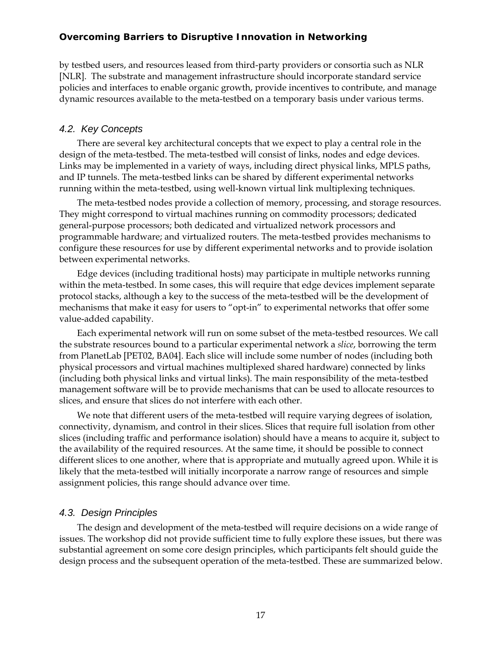by testbed users, and resources leased from third-party providers or consortia such as NLR [NLR]. The substrate and management infrastructure should incorporate standard service policies and interfaces to enable organic growth, provide incentives to contribute, and manage dynamic resources available to the meta-testbed on a temporary basis under various terms.

#### *4.2. Key Concepts*

There are several key architectural concepts that we expect to play a central role in the design of the meta-testbed. The meta-testbed will consist of links, nodes and edge devices. Links may be implemented in a variety of ways, including direct physical links, MPLS paths, and IP tunnels. The meta-testbed links can be shared by different experimental networks running within the meta-testbed, using well-known virtual link multiplexing techniques.

The meta-testbed nodes provide a collection of memory, processing, and storage resources. They might correspond to virtual machines running on commodity processors; dedicated general-purpose processors; both dedicated and virtualized network processors and programmable hardware; and virtualized routers. The meta-testbed provides mechanisms to configure these resources for use by different experimental networks and to provide isolation between experimental networks.

Edge devices (including traditional hosts) may participate in multiple networks running within the meta-testbed. In some cases, this will require that edge devices implement separate protocol stacks, although a key to the success of the meta-testbed will be the development of mechanisms that make it easy for users to "opt-in" to experimental networks that offer some value-added capability.

Each experimental network will run on some subset of the meta-testbed resources. We call the substrate resources bound to a particular experimental network a *slice*, borrowing the term from PlanetLab [PET02, BA04]. Each slice will include some number of nodes (including both physical processors and virtual machines multiplexed shared hardware) connected by links (including both physical links and virtual links). The main responsibility of the meta-testbed management software will be to provide mechanisms that can be used to allocate resources to slices, and ensure that slices do not interfere with each other.

We note that different users of the meta-testbed will require varying degrees of isolation, connectivity, dynamism, and control in their slices. Slices that require full isolation from other slices (including traffic and performance isolation) should have a means to acquire it, subject to the availability of the required resources. At the same time, it should be possible to connect different slices to one another, where that is appropriate and mutually agreed upon. While it is likely that the meta-testbed will initially incorporate a narrow range of resources and simple assignment policies, this range should advance over time.

#### *4.3. Design Principles*

The design and development of the meta-testbed will require decisions on a wide range of issues. The workshop did not provide sufficient time to fully explore these issues, but there was substantial agreement on some core design principles, which participants felt should guide the design process and the subsequent operation of the meta-testbed. These are summarized below.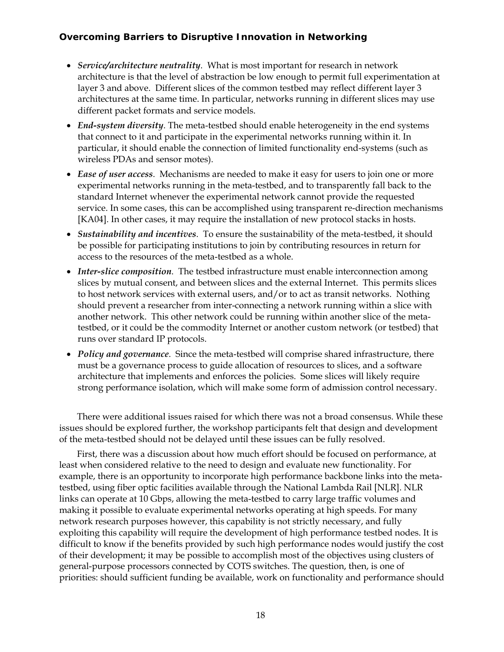- *Service/architecture neutrality*. What is most important for research in network architecture is that the level of abstraction be low enough to permit full experimentation at layer 3 and above. Different slices of the common testbed may reflect different layer 3 architectures at the same time. In particular, networks running in different slices may use different packet formats and service models.
- *End-system diversity*. The meta-testbed should enable heterogeneity in the end systems that connect to it and participate in the experimental networks running within it. In particular, it should enable the connection of limited functionality end-systems (such as wireless PDAs and sensor motes).
- *Ease of user access*. Mechanisms are needed to make it easy for users to join one or more experimental networks running in the meta-testbed, and to transparently fall back to the standard Internet whenever the experimental network cannot provide the requested service. In some cases, this can be accomplished using transparent re-direction mechanisms [KA04]. In other cases, it may require the installation of new protocol stacks in hosts.
- *Sustainability and incentives*. To ensure the sustainability of the meta-testbed, it should be possible for participating institutions to join by contributing resources in return for access to the resources of the meta-testbed as a whole.
- *Inter-slice composition*. The testbed infrastructure must enable interconnection among slices by mutual consent, and between slices and the external Internet. This permits slices to host network services with external users, and/or to act as transit networks. Nothing should prevent a researcher from inter-connecting a network running within a slice with another network. This other network could be running within another slice of the metatestbed, or it could be the commodity Internet or another custom network (or testbed) that runs over standard IP protocols.
- *Policy and governance*. Since the meta-testbed will comprise shared infrastructure, there must be a governance process to guide allocation of resources to slices, and a software architecture that implements and enforces the policies. Some slices will likely require strong performance isolation, which will make some form of admission control necessary.

There were additional issues raised for which there was not a broad consensus. While these issues should be explored further, the workshop participants felt that design and development of the meta-testbed should not be delayed until these issues can be fully resolved.

First, there was a discussion about how much effort should be focused on performance, at least when considered relative to the need to design and evaluate new functionality. For example, there is an opportunity to incorporate high performance backbone links into the metatestbed, using fiber optic facilities available through the National Lambda Rail [NLR]. NLR links can operate at 10 Gbps, allowing the meta-testbed to carry large traffic volumes and making it possible to evaluate experimental networks operating at high speeds. For many network research purposes however, this capability is not strictly necessary, and fully exploiting this capability will require the development of high performance testbed nodes. It is difficult to know if the benefits provided by such high performance nodes would justify the cost of their development; it may be possible to accomplish most of the objectives using clusters of general-purpose processors connected by COTS switches. The question, then, is one of priorities: should sufficient funding be available, work on functionality and performance should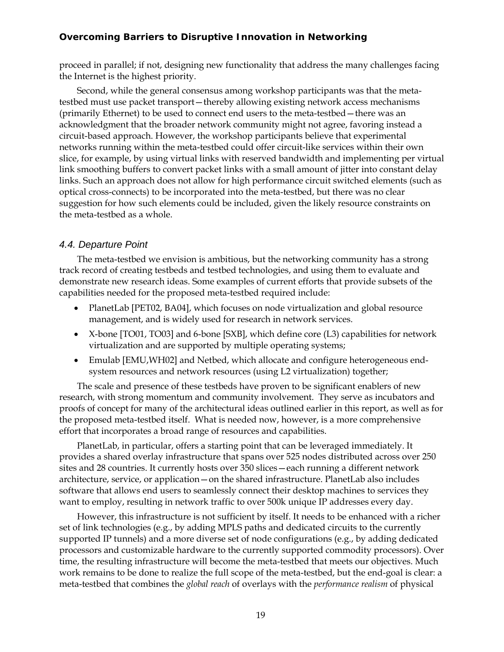proceed in parallel; if not, designing new functionality that address the many challenges facing the Internet is the highest priority.

Second, while the general consensus among workshop participants was that the metatestbed must use packet transport—thereby allowing existing network access mechanisms (primarily Ethernet) to be used to connect end users to the meta-testbed—there was an acknowledgment that the broader network community might not agree, favoring instead a circuit-based approach. However, the workshop participants believe that experimental networks running within the meta-testbed could offer circuit-like services within their own slice, for example, by using virtual links with reserved bandwidth and implementing per virtual link smoothing buffers to convert packet links with a small amount of jitter into constant delay links. Such an approach does not allow for high performance circuit switched elements (such as optical cross-connects) to be incorporated into the meta-testbed, but there was no clear suggestion for how such elements could be included, given the likely resource constraints on the meta-testbed as a whole.

#### *4.4. Departure Point*

The meta-testbed we envision is ambitious, but the networking community has a strong track record of creating testbeds and testbed technologies, and using them to evaluate and demonstrate new research ideas. Some examples of current efforts that provide subsets of the capabilities needed for the proposed meta-testbed required include:

- PlanetLab [PET02, BA04], which focuses on node virtualization and global resource management, and is widely used for research in network services.
- X-bone [TO01, TO03] and 6-bone [SXB], which define core (L3) capabilities for network virtualization and are supported by multiple operating systems;
- Emulab [EMU,WH02] and Netbed, which allocate and configure heterogeneous endsystem resources and network resources (using L2 virtualization) together;

The scale and presence of these testbeds have proven to be significant enablers of new research, with strong momentum and community involvement. They serve as incubators and proofs of concept for many of the architectural ideas outlined earlier in this report, as well as for the proposed meta-testbed itself. What is needed now, however, is a more comprehensive effort that incorporates a broad range of resources and capabilities.

PlanetLab, in particular, offers a starting point that can be leveraged immediately. It provides a shared overlay infrastructure that spans over 525 nodes distributed across over 250 sites and 28 countries. It currently hosts over 350 slices—each running a different network architecture, service, or application—on the shared infrastructure. PlanetLab also includes software that allows end users to seamlessly connect their desktop machines to services they want to employ, resulting in network traffic to over 500k unique IP addresses every day.

However, this infrastructure is not sufficient by itself. It needs to be enhanced with a richer set of link technologies (e.g., by adding MPLS paths and dedicated circuits to the currently supported IP tunnels) and a more diverse set of node configurations (e.g., by adding dedicated processors and customizable hardware to the currently supported commodity processors). Over time, the resulting infrastructure will become the meta-testbed that meets our objectives. Much work remains to be done to realize the full scope of the meta-testbed, but the end-goal is clear: a meta-testbed that combines the *global reach* of overlays with the *performance realism* of physical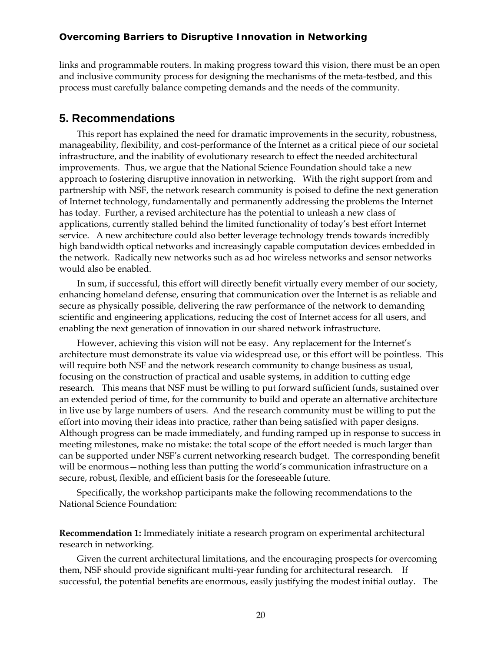links and programmable routers. In making progress toward this vision, there must be an open and inclusive community process for designing the mechanisms of the meta-testbed, and this process must carefully balance competing demands and the needs of the community.

#### **5. Recommendations**

This report has explained the need for dramatic improvements in the security, robustness, manageability, flexibility, and cost-performance of the Internet as a critical piece of our societal infrastructure, and the inability of evolutionary research to effect the needed architectural improvements. Thus, we argue that the National Science Foundation should take a new approach to fostering disruptive innovation in networking. With the right support from and partnership with NSF, the network research community is poised to define the next generation of Internet technology, fundamentally and permanently addressing the problems the Internet has today. Further, a revised architecture has the potential to unleash a new class of applications, currently stalled behind the limited functionality of today's best effort Internet service. A new architecture could also better leverage technology trends towards incredibly high bandwidth optical networks and increasingly capable computation devices embedded in the network. Radically new networks such as ad hoc wireless networks and sensor networks would also be enabled.

In sum, if successful, this effort will directly benefit virtually every member of our society, enhancing homeland defense, ensuring that communication over the Internet is as reliable and secure as physically possible, delivering the raw performance of the network to demanding scientific and engineering applications, reducing the cost of Internet access for all users, and enabling the next generation of innovation in our shared network infrastructure.

However, achieving this vision will not be easy. Any replacement for the Internet's architecture must demonstrate its value via widespread use, or this effort will be pointless. This will require both NSF and the network research community to change business as usual, focusing on the construction of practical and usable systems, in addition to cutting edge research. This means that NSF must be willing to put forward sufficient funds, sustained over an extended period of time, for the community to build and operate an alternative architecture in live use by large numbers of users. And the research community must be willing to put the effort into moving their ideas into practice, rather than being satisfied with paper designs. Although progress can be made immediately, and funding ramped up in response to success in meeting milestones, make no mistake: the total scope of the effort needed is much larger than can be supported under NSF's current networking research budget. The corresponding benefit will be enormous—nothing less than putting the world's communication infrastructure on a secure, robust, flexible, and efficient basis for the foreseeable future.

Specifically, the workshop participants make the following recommendations to the National Science Foundation:

**Recommendation 1:** Immediately initiate a research program on experimental architectural research in networking.

Given the current architectural limitations, and the encouraging prospects for overcoming them, NSF should provide significant multi-year funding for architectural research. If successful, the potential benefits are enormous, easily justifying the modest initial outlay. The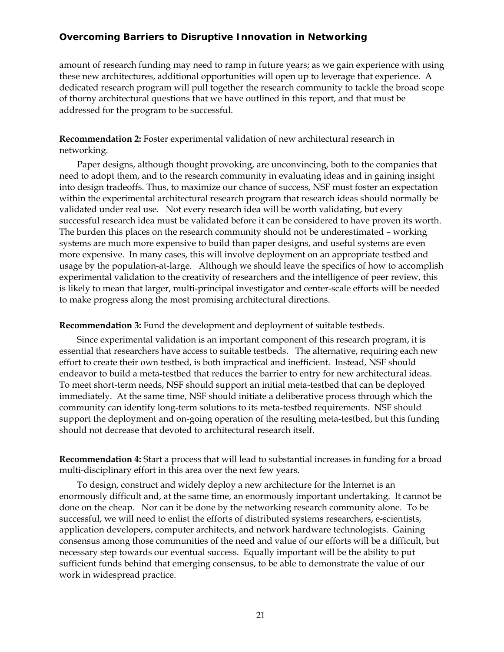amount of research funding may need to ramp in future years; as we gain experience with using these new architectures, additional opportunities will open up to leverage that experience. A dedicated research program will pull together the research community to tackle the broad scope of thorny architectural questions that we have outlined in this report, and that must be addressed for the program to be successful.

**Recommendation 2:** Foster experimental validation of new architectural research in networking.

Paper designs, although thought provoking, are unconvincing, both to the companies that need to adopt them, and to the research community in evaluating ideas and in gaining insight into design tradeoffs. Thus, to maximize our chance of success, NSF must foster an expectation within the experimental architectural research program that research ideas should normally be validated under real use. Not every research idea will be worth validating, but every successful research idea must be validated before it can be considered to have proven its worth. The burden this places on the research community should not be underestimated – working systems are much more expensive to build than paper designs, and useful systems are even more expensive. In many cases, this will involve deployment on an appropriate testbed and usage by the population-at-large. Although we should leave the specifics of how to accomplish experimental validation to the creativity of researchers and the intelligence of peer review, this is likely to mean that larger, multi-principal investigator and center-scale efforts will be needed to make progress along the most promising architectural directions.

**Recommendation 3:** Fund the development and deployment of suitable testbeds.

Since experimental validation is an important component of this research program, it is essential that researchers have access to suitable testbeds. The alternative, requiring each new effort to create their own testbed, is both impractical and inefficient. Instead, NSF should endeavor to build a meta-testbed that reduces the barrier to entry for new architectural ideas. To meet short-term needs, NSF should support an initial meta-testbed that can be deployed immediately. At the same time, NSF should initiate a deliberative process through which the community can identify long-term solutions to its meta-testbed requirements. NSF should support the deployment and on-going operation of the resulting meta-testbed, but this funding should not decrease that devoted to architectural research itself.

**Recommendation 4:** Start a process that will lead to substantial increases in funding for a broad multi-disciplinary effort in this area over the next few years.

To design, construct and widely deploy a new architecture for the Internet is an enormously difficult and, at the same time, an enormously important undertaking. It cannot be done on the cheap. Nor can it be done by the networking research community alone. To be successful, we will need to enlist the efforts of distributed systems researchers, e-scientists, application developers, computer architects, and network hardware technologists. Gaining consensus among those communities of the need and value of our efforts will be a difficult, but necessary step towards our eventual success. Equally important will be the ability to put sufficient funds behind that emerging consensus, to be able to demonstrate the value of our work in widespread practice.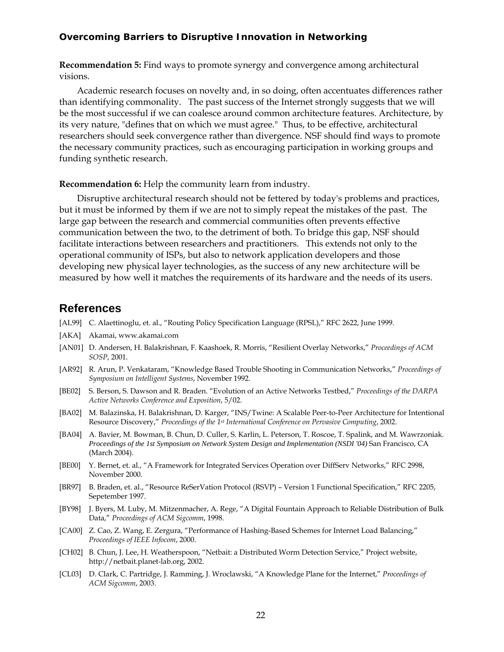**Recommendation 5:** Find ways to promote synergy and convergence among architectural visions.

Academic research focuses on novelty and, in so doing, often accentuates differences rather than identifying commonality. The past success of the Internet strongly suggests that we will be the most successful if we can coalesce around common architecture features. Architecture, by its very nature, "defines that on which we must agree." Thus, to be effective, architectural researchers should seek convergence rather than divergence. NSF should find ways to promote the necessary community practices, such as encouraging participation in working groups and funding synthetic research.

**Recommendation 6:** Help the community learn from industry.

Disruptive architectural research should not be fettered by today's problems and practices, but it must be informed by them if we are not to simply repeat the mistakes of the past. The large gap between the research and commercial communities often prevents effective communication between the two, to the detriment of both. To bridge this gap, NSF should facilitate interactions between researchers and practitioners. This extends not only to the operational community of ISPs, but also to network application developers and those developing new physical layer technologies, as the success of any new architecture will be measured by how well it matches the requirements of its hardware and the needs of its users.

#### **References**

- [AL99] C. Alaettinoglu, et. al., "Routing Policy Specification Language (RPSL)," RFC 2622, June 1999.
- [AKA] Akamai, www.akamai.com
- [AN01] D. Andersen, H. Balakrishnan, F. Kaashoek, R. Morris, "Resilient Overlay Networks," *Proceedings of ACM SOSP*, 2001.
- [AR92] R. Arun, P. Venkataram, "Knowledge Based Trouble Shooting in Communication Networks," *Proceedings of Symposium on Intelligent Systems*, November 1992.
- [BE02] S. Berson, S. Dawson and R. Braden. "Evolution of an Active Networks Testbed," *Proceedings of the DARPA Active Networks Conference and Exposition*, 5/02.
- [BA02] M. Balazinska, H. Balakrishnan, D. Karger, "INS/Twine: A Scalable Peer-to-Peer Architecture for Intentional Resource Discovery," *Proceedings of the 1st International Conference on Pervasive Computing*, 2002.
- [BA04] A. Bavier, M. Bowman, B. Chun, D. Culler, S. Karlin, L. Peterson, T. Roscoe, T. Spalink, and M. Wawrzoniak. *Proceedings of the 1st Symposium on Network System Design and Implementation (NSDI '04)* San Francisco, CA (March 2004).
- [BE00] Y. Bernet, et. al., "A Framework for Integrated Services Operation over DiffServ Networks," RFC 2998, November 2000.
- [BR97] B. Braden, et. al., "Resource ReSerVation Protocol (RSVP) Version 1 Functional Specification," RFC 2205, Sepetember 1997.
- [BY98] J. Byers, M. Luby, M. Mitzenmacher, A. Rege, "A Digital Fountain Approach to Reliable Distribution of Bulk Data," *Proceedings of ACM Sigcomm*, 1998.
- [CA00] Z. Cao, Z. Wang, E. Zergura, "Performance of Hashing-Based Schemes for Internet Load Balancing," *Proceedings of IEEE Infocom*, 2000.
- [CH02] B. Chun, J. Lee, H. Weatherspoon, "Netbait: a Distributed Worm Detection Service," Project website, http://netbait.planet-lab.org, 2002.
- [CL03] D. Clark, C. Partridge, J. Ramming, J. Wroclawski, "A Knowledge Plane for the Internet," *Proceedings of ACM Sigcomm*, 2003.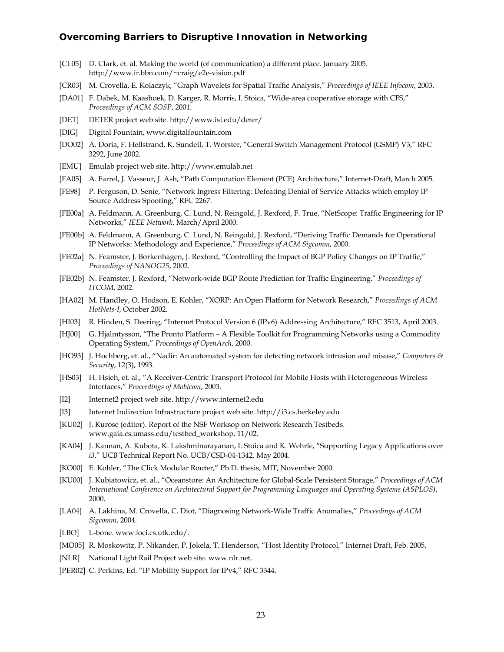- [CL05] D. Clark, et. al. Making the world (of communication) a different place. January 2005. http://www.ir.bbn.com/~craig/e2e-vision.pdf
- [CR03] M. Crovella, E. Kolaczyk, "Graph Wavelets for Spatial Traffic Analysis," *Proceedings of IEEE Infocom*, 2003.
- [DA01] F. Dabek, M. Kaashoek, D. Karger, R. Morris, I. Stoica, "Wide-area cooperative storage with CFS," *Proceedings of ACM SOSP*, 2001.
- [DET] DETER project web site. http://www.isi.edu/deter/
- [DIG] Digital Fountain, www.digitalfountain.com
- [DO02] A. Doria, F. Hellstrand, K. Sundell, T. Worster, "General Switch Management Protocol (GSMP) V3," RFC 3292, June 2002.
- [EMU] Emulab project web site. http://www.emulab.net
- [FA05] A. Farrel, J. Vasseur, J. Ash, "Path Computation Element (PCE) Architecture," Internet-Draft, March 2005.
- [FE98] P. Ferguson, D. Senie, "Network Ingress Filtering: Defeating Denial of Service Attacks which employ IP Source Address Spoofing," RFC 2267.
- [FE00a] A. Feldmann, A. Greenburg, C. Lund, N. Reingold, J. Rexford, F. True, "NetScope: Traffic Engineering for IP Networks," *IEEE Network*, March/April 2000.
- [FE00b] A. Feldmann, A. Greenburg, C. Lund, N. Reingold, J. Rexford, "Deriving Traffic Demands for Operational IP Networks: Methodology and Experience," *Proceedings of ACM Sigcomm*, 2000.
- [FE02a] N. Feamster, J. Borkenhagen, J. Rexford, "Controlling the Impact of BGP Policy Changes on IP Traffic," *Proceedings of NANOG25*, 2002.
- [FE02b] N. Feamster, J. Rexford, "Network-wide BGP Route Prediction for Traffic Engineering," *Proceedings of ITCOM*, 2002.
- [HA02] M. Handley, O. Hodson, E. Kohler, "XORP: An Open Platform for Network Research," *Proceedings of ACM HotNets-I*, October 2002.
- [HI03] R. Hinden, S. Deering, "Internet Protocol Version 6 (IPv6) Addressing Architecture," RFC 3513, April 2003.
- [HJ00] G. Hjalmtysson, "The Pronto Platform A Flexible Toolkit for Programming Networks using a Commodity Operating System," *Proceedings of OpenArch*, 2000.
- [HO93] J. Hochberg, et. al., "Nadir: An automated system for detecting network intrusion and misuse," *Computers & Security*, 12(3), 1993.
- [HS03] H. Hsieh, et. al., "A Receiver-Centric Transport Protocol for Mobile Hosts with Heterogeneous Wireless Interfaces," *Proceedings of Mobicom*, 2003.
- [I2] Internet2 project web site. http://www.internet2.edu
- [I3] Internet Indirection Infrastructure project web site. http://i3.cs.berkeley.edu
- [KU02] J. Kurose (editor). Report of the NSF Worksop on Network Research Testbeds. www.gaia.cs.umass.edu/testbed\_workshop, 11/02.
- [KA04] J. Kannan, A. Kubota, K. Lakshminarayanan, I. Stoica and K. Wehrle, "Supporting Legacy Applications over *i3*," UCB Technical Report No. UCB/CSD-04-1342, May 2004.
- [KO00] E. Kohler, "The Click Modular Router," Ph.D. thesis, MIT, November 2000.
- [KU00] J. Kubiatowicz, et. al., "Oceanstore: An Architecture for Global-Scale Persistent Storage," *Proceedings of ACM International Conference on Architectural Support for Programming Languages and Operating Systems (ASPLOS)*, 2000.
- [LA04] A. Lakhina, M. Crovella, C. Diot, "Diagnosing Network-Wide Traffic Anomalies," *Proceedings of ACM Sigcomm*, 2004.
- [LBO] L-bone. www.loci.cs.utk.edu/.
- [MO05] R. Moskowitz, P. Nikander, P. Jokela, T. Henderson, "Host Identity Protocol," Internet Draft, Feb. 2005.
- [NLR] National Light Rail Project web site. www.nlr.net.
- [PER02] C. Perkins, Ed. "IP Mobility Support for IPv4," RFC 3344.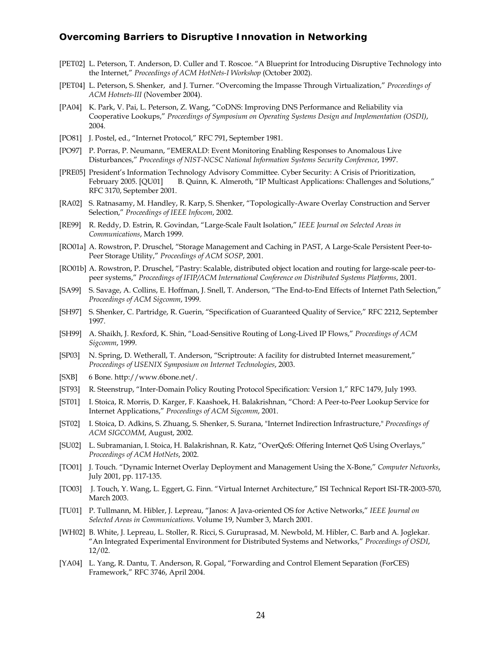- [PET02] L. Peterson, T. Anderson, D. Culler and T. Roscoe. "A Blueprint for Introducing Disruptive Technology into the Internet," *Proceedings of ACM HotNets-I Workshop* (October 2002).
- [PET04] L. Peterson, S. Shenker, and J. Turner. "Overcoming the Impasse Through Virtualization," *Proceedings of ACM Hotnets-III* (November 2004).
- [PA04] K. Park, V. Pai, L. Peterson, Z. Wang, "CoDNS: Improving DNS Performance and Reliability via Cooperative Lookups," *Proceedings of Symposium on Operating Systems Design and Implementation (OSDI)*, 2004.
- [PO81] J. Postel, ed., "Internet Protocol," RFC 791, September 1981.
- [PO97] P. Porras, P. Neumann, "EMERALD: Event Monitoring Enabling Responses to Anomalous Live Disturbances," *Proceedings of NIST-NCSC National Information Systems Security Conference*, 1997.
- [PRE05] President's Information Technology Advisory Committee. Cyber Security: A Crisis of Prioritization, February 2005. [QU01] B. Quinn, K. Almeroth, "IP Multicast Applications: Challenges and Solutions," RFC 3170, September 2001.
- [RA02] S. Ratnasamy, M. Handley, R. Karp, S. Shenker, "Topologically-Aware Overlay Construction and Server Selection," *Proceedings of IEEE Infocom*, 2002.
- [RE99] R. Reddy, D. Estrin, R. Govindan, "Large-Scale Fault Isolation," *IEEE Journal on Selected Areas in Communications*, March 1999.
- [RO01a] A. Rowstron, P. Druschel, "Storage Management and Caching in PAST, A Large-Scale Persistent Peer-to-Peer Storage Utility," *Proceedings of ACM SOSP*, 2001.
- [RO01b] A. Rowstron, P. Druschel, "Pastry: Scalable, distributed object location and routing for large-scale peer-topeer systems," *Proceedings of IFIP/ACM International Conference on Distributed Systems Platforms*, 2001.
- [SA99] S. Savage, A. Collins, E. Hoffman, J. Snell, T. Anderson, "The End-to-End Effects of Internet Path Selection," *Proceedings of ACM Sigcomm*, 1999.
- [SH97] S. Shenker, C. Partridge, R. Guerin, "Specification of Guaranteed Quality of Service," RFC 2212, September 1997.
- [SH99] A. Shaikh, J. Rexford, K. Shin, "Load-Sensitive Routing of Long-Lived IP Flows," *Proceedings of ACM Sigcomm*, 1999.
- [SP03] N. Spring, D. Wetherall, T. Anderson, "Scriptroute: A facility for distrubted Internet measurement," *Proceedings of USENIX Symposium on Internet Technologies*, 2003.
- [SXB] 6 Bone. http://www.6bone.net/.
- [ST93] R. Steenstrup, "Inter-Domain Policy Routing Protocol Specification: Version 1," RFC 1479, July 1993.
- [ST01] I. Stoica, R. Morris, D. Karger, F. Kaashoek, H. Balakrishnan, "Chord: A Peer-to-Peer Lookup Service for Internet Applications," *Proceedings of ACM Sigcomm*, 2001.
- [ST02] I. Stoica, D. Adkins, S. Zhuang, S. Shenker, S. Surana, "Internet Indirection Infrastructure," *Proceedings of ACM SIGCOMM*, August, 2002.
- [SU02] L. Subramanian, I. Stoica, H. Balakrishnan, R. Katz, "OverQoS: Offering Internet QoS Using Overlays," *Proceedings of ACM HotNets*, 2002.
- [TO01] J. Touch. "Dynamic Internet Overlay Deployment and Management Using the X-Bone," *Computer Networks*, July 2001, pp. 117-135.
- [TO03] J. Touch, Y. Wang, L. Eggert, G. Finn. "Virtual Internet Architecture," ISI Technical Report ISI-TR-2003-570, March 2003.
- [TU01] P. Tullmann, M. Hibler, J. Lepreau, "Janos: A Java-oriented OS for Active Networks," *IEEE Journal on Selected Areas in Communications*. Volume 19, Number 3, March 2001.
- [WH02] B. White, J. Lepreau, L. Stoller, R. Ricci, S. Guruprasad, M. Newbold, M. Hibler, C. Barb and A. Joglekar. "An Integrated Experimental Environment for Distributed Systems and Networks," *Proceedings of OSDI*, 12/02.
- [YA04] L. Yang, R. Dantu, T. Anderson, R. Gopal, "Forwarding and Control Element Separation (ForCES) Framework," RFC 3746, April 2004.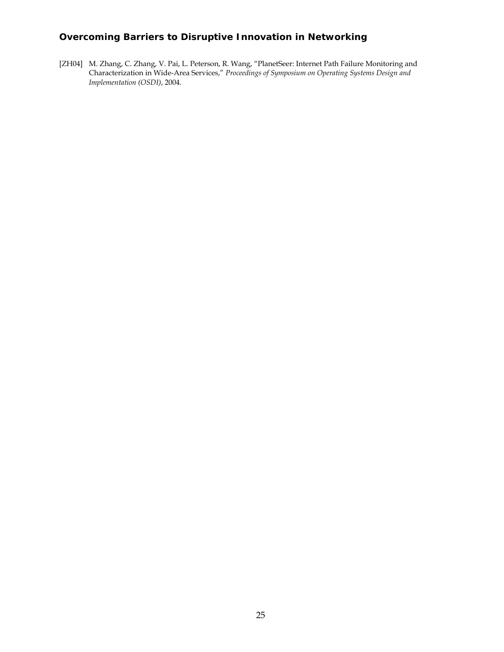[ZH04] M. Zhang, C. Zhang, V. Pai, L. Peterson, R. Wang, "PlanetSeer: Internet Path Failure Monitoring and Characterization in Wide-Area Services," *Proceedings of Symposium on Operating Systems Design and Implementation (OSDI)*, 2004.